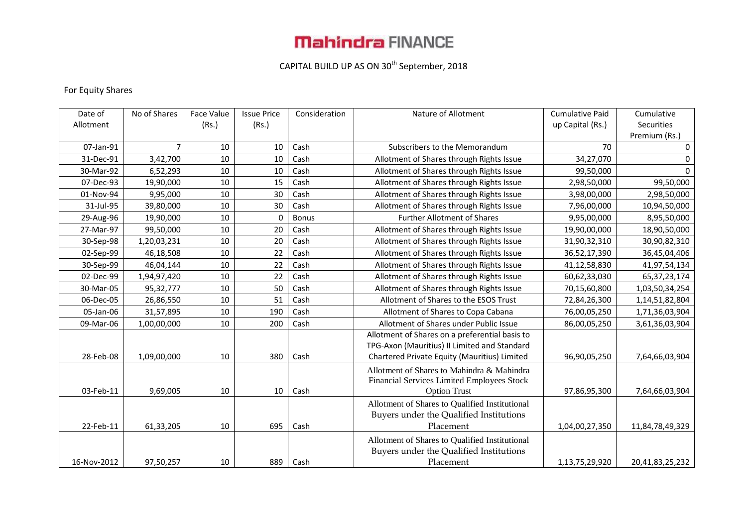# **Mahindra FINANCE**

## CAPITAL BUILD UP AS ON 30<sup>th</sup> September, 2018

### For Equity Shares

| Date of     | No of Shares   | Face Value | <b>Issue Price</b> | Consideration | Nature of Allotment                            | <b>Cumulative Paid</b> | Cumulative      |
|-------------|----------------|------------|--------------------|---------------|------------------------------------------------|------------------------|-----------------|
| Allotment   |                | (Rs.)      | (Rs.)              |               |                                                | up Capital (Rs.)       | Securities      |
|             |                |            |                    |               |                                                |                        | Premium (Rs.)   |
| 07-Jan-91   | $\overline{7}$ | 10         | 10                 | Cash          | Subscribers to the Memorandum                  | 70                     | 0               |
| 31-Dec-91   | 3,42,700       | 10         | 10                 | Cash          | Allotment of Shares through Rights Issue       | 34,27,070              | $\Omega$        |
| 30-Mar-92   | 6,52,293       | 10         | 10                 | Cash          | Allotment of Shares through Rights Issue       | 99,50,000              | $\Omega$        |
| 07-Dec-93   | 19,90,000      | 10         | 15                 | Cash          | Allotment of Shares through Rights Issue       | 2,98,50,000            | 99,50,000       |
| 01-Nov-94   | 9,95,000       | 10         | 30                 | Cash          | Allotment of Shares through Rights Issue       | 3,98,00,000            | 2,98,50,000     |
| 31-Jul-95   | 39,80,000      | 10         | 30                 | Cash          | Allotment of Shares through Rights Issue       | 7,96,00,000            | 10,94,50,000    |
| 29-Aug-96   | 19,90,000      | 10         | $\mathbf 0$        | <b>Bonus</b>  | <b>Further Allotment of Shares</b>             | 9,95,00,000            | 8,95,50,000     |
| 27-Mar-97   | 99,50,000      | 10         | 20                 | Cash          | Allotment of Shares through Rights Issue       | 19,90,00,000           | 18,90,50,000    |
| 30-Sep-98   | 1,20,03,231    | 10         | 20                 | Cash          | Allotment of Shares through Rights Issue       | 31,90,32,310           | 30,90,82,310    |
| 02-Sep-99   | 46,18,508      | $10\,$     | 22                 | Cash          | Allotment of Shares through Rights Issue       | 36,52,17,390           | 36,45,04,406    |
| 30-Sep-99   | 46,04,144      | 10         | 22                 | Cash          | Allotment of Shares through Rights Issue       | 41,12,58,830           | 41,97,54,134    |
| 02-Dec-99   | 1,94,97,420    | 10         | 22                 | Cash          | Allotment of Shares through Rights Issue       | 60,62,33,030           | 65, 37, 23, 174 |
| 30-Mar-05   | 95,32,777      | 10         | 50                 | Cash          | Allotment of Shares through Rights Issue       | 70,15,60,800           | 1,03,50,34,254  |
| 06-Dec-05   | 26,86,550      | 10         | 51                 | Cash          | Allotment of Shares to the ESOS Trust          | 72,84,26,300           | 1,14,51,82,804  |
| 05-Jan-06   | 31,57,895      | 10         | 190                | Cash          | Allotment of Shares to Copa Cabana             | 76,00,05,250           | 1,71,36,03,904  |
| 09-Mar-06   | 1,00,00,000    | 10         | 200                | Cash          | Allotment of Shares under Public Issue         | 86,00,05,250           | 3,61,36,03,904  |
|             |                |            |                    |               | Allotment of Shares on a preferential basis to |                        |                 |
|             |                |            |                    |               | TPG-Axon (Mauritius) II Limited and Standard   |                        |                 |
| 28-Feb-08   | 1,09,00,000    | 10         | 380                | Cash          | Chartered Private Equity (Mauritius) Limited   | 96,90,05,250           | 7,64,66,03,904  |
|             |                |            |                    |               | Allotment of Shares to Mahindra & Mahindra     |                        |                 |
|             |                |            |                    |               | Financial Services Limited Employees Stock     |                        |                 |
| 03-Feb-11   | 9,69,005       | 10         | 10                 | Cash          | <b>Option Trust</b>                            | 97,86,95,300           | 7,64,66,03,904  |
|             |                |            |                    |               | Allotment of Shares to Qualified Institutional |                        |                 |
|             |                |            |                    |               | Buyers under the Qualified Institutions        |                        |                 |
| 22-Feb-11   | 61,33,205      | 10         | 695                | Cash          | Placement                                      | 1,04,00,27,350         | 11,84,78,49,329 |
|             |                |            |                    |               | Allotment of Shares to Qualified Institutional |                        |                 |
|             |                |            |                    |               | Buyers under the Qualified Institutions        |                        |                 |
| 16-Nov-2012 | 97,50,257      | 10         | 889                | Cash          | Placement                                      | 1,13,75,29,920         | 20,41,83,25,232 |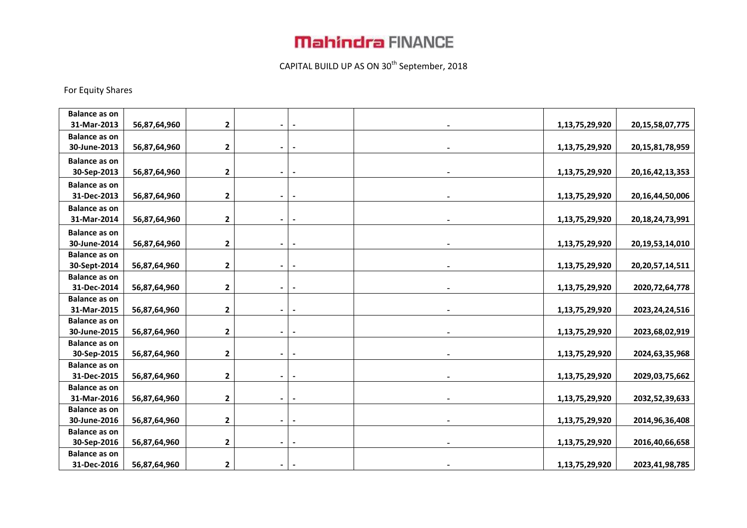## **Mahindra FINANCE**

## CAPITAL BUILD UP AS ON 30<sup>th</sup> September, 2018

#### For Equity Shares

| <b>Balance as on</b> |              |                |                |  |                |                     |
|----------------------|--------------|----------------|----------------|--|----------------|---------------------|
| 31-Mar-2013          | 56,87,64,960 | 2              |                |  | 1,13,75,29,920 | 20, 15, 58, 07, 775 |
| <b>Balance as on</b> |              |                |                |  |                |                     |
| 30-June-2013         | 56,87,64,960 | $\mathbf 2$    | $\blacksquare$ |  | 1,13,75,29,920 | 20, 15, 81, 78, 959 |
| <b>Balance as on</b> |              |                |                |  |                |                     |
| 30-Sep-2013          | 56,87,64,960 | 2              | $\blacksquare$ |  | 1,13,75,29,920 | 20, 16, 42, 13, 353 |
| <b>Balance as on</b> |              |                |                |  |                |                     |
| 31-Dec-2013          | 56,87,64,960 | $\mathbf 2$    | $\blacksquare$ |  | 1,13,75,29,920 | 20,16,44,50,006     |
| <b>Balance as on</b> |              |                |                |  |                |                     |
| 31-Mar-2014          | 56,87,64,960 | $\mathbf 2$    |                |  | 1,13,75,29,920 | 20, 18, 24, 73, 991 |
| <b>Balance as on</b> |              |                |                |  |                |                     |
| 30-June-2014         | 56,87,64,960 | 2              | $\blacksquare$ |  | 1,13,75,29,920 | 20, 19, 53, 14, 010 |
| <b>Balance as on</b> |              |                |                |  |                |                     |
| 30-Sept-2014         | 56,87,64,960 | $\mathbf 2$    |                |  | 1,13,75,29,920 | 20, 20, 57, 14, 511 |
| <b>Balance as on</b> |              |                |                |  |                |                     |
| 31-Dec-2014          | 56,87,64,960 | 2              | $\blacksquare$ |  | 1,13,75,29,920 | 2020, 72, 64, 778   |
| <b>Balance as on</b> |              |                |                |  |                |                     |
| 31-Mar-2015          | 56,87,64,960 | $\mathbf 2$    |                |  | 1,13,75,29,920 | 2023, 24, 24, 516   |
| <b>Balance as on</b> |              |                |                |  |                |                     |
| 30-June-2015         | 56,87,64,960 | $\mathbf 2$    | $\blacksquare$ |  | 1,13,75,29,920 | 2023,68,02,919      |
| <b>Balance as on</b> |              |                |                |  |                |                     |
| 30-Sep-2015          | 56,87,64,960 | $\mathbf 2$    |                |  | 1,13,75,29,920 | 2024, 63, 35, 968   |
| <b>Balance as on</b> |              |                |                |  |                |                     |
| 31-Dec-2015          | 56,87,64,960 | $\mathbf{2}$   |                |  | 1,13,75,29,920 | 2029,03,75,662      |
| <b>Balance as on</b> |              |                |                |  |                |                     |
| 31-Mar-2016          | 56,87,64,960 | $\mathbf 2$    |                |  | 1,13,75,29,920 | 2032,52,39,633      |
| <b>Balance as on</b> |              |                |                |  |                |                     |
| 30-June-2016         | 56,87,64,960 | $\mathbf 2$    |                |  | 1,13,75,29,920 | 2014, 96, 36, 408   |
| <b>Balance as on</b> |              |                |                |  |                |                     |
| 30-Sep-2016          | 56,87,64,960 | 2              | $\blacksquare$ |  | 1,13,75,29,920 | 2016,40,66,658      |
| <b>Balance as on</b> |              |                |                |  |                |                     |
| 31-Dec-2016          | 56,87,64,960 | $\overline{2}$ |                |  | 1,13,75,29,920 | 2023,41,98,785      |